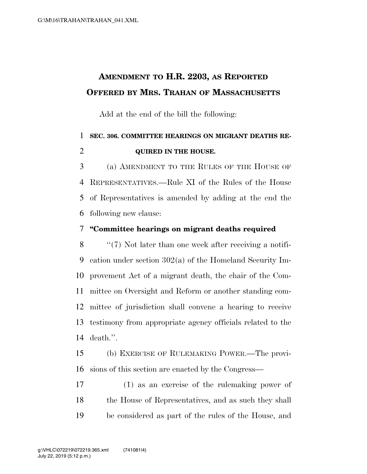## **AMENDMENT TO H.R. 2203, AS REPORTED OFFERED BY MRS. TRAHAN OF MASSACHUSETTS**

Add at the end of the bill the following:

## **SEC. 306. COMMITTEE HEARINGS ON MIGRANT DEATHS RE-QUIRED IN THE HOUSE.**

 (a) AMENDMENT TO THE RULES OF THE HOUSE OF REPRESENTATIVES.—Rule XI of the Rules of the House of Representatives is amended by adding at the end the following new clause:

## **''Committee hearings on migrant deaths required**

8 ''(7) Not later than one week after receiving a notifi- cation under section 302(a) of the Homeland Security Im- provement Act of a migrant death, the chair of the Com- mittee on Oversight and Reform or another standing com- mittee of jurisdiction shall convene a hearing to receive testimony from appropriate agency officials related to the death.''.

 (b) EXERCISE OF RULEMAKING POWER.—The provi-sions of this section are enacted by the Congress—

 (1) as an exercise of the rulemaking power of the House of Representatives, and as such they shall be considered as part of the rules of the House, and